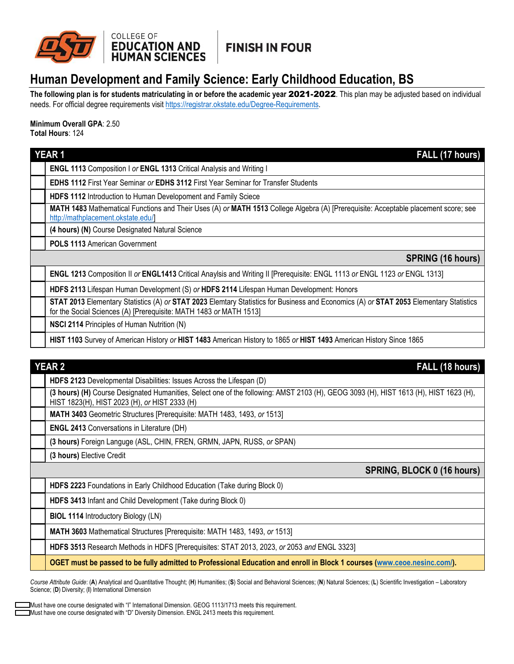

## **FINISH IN FOUR**

## **Human Development and Family Science: Early Childhood Education, BS**

**The following plan is for students matriculating in or before the academic year** 2021-2022. This plan may be adjusted based on individual needs. For official degree requirements visit https://registrar.okstate.edu/Degree-Requirements.

**Minimum Overall GPA**: 2.50 **Total Hours**: 124

| <b>YEAR1</b><br>FALL (17 hours) |                                                                                                                                                                                                              |  |  |
|---------------------------------|--------------------------------------------------------------------------------------------------------------------------------------------------------------------------------------------------------------|--|--|
|                                 | ENGL 1113 Composition I or ENGL 1313 Critical Analysis and Writing I                                                                                                                                         |  |  |
|                                 | <b>EDHS 1112 First Year Seminar or EDHS 3112 First Year Seminar for Transfer Students</b>                                                                                                                    |  |  |
|                                 | HDFS 1112 Introduction to Human Developoment and Family Sciece                                                                                                                                               |  |  |
|                                 | MATH 1483 Mathematical Functions and Their Uses (A) or MATH 1513 College Algebra (A) [Prerequisite: Acceptable placement score; see<br>http://mathplacement.okstate.edu/                                     |  |  |
|                                 | (4 hours) (N) Course Designated Natural Science                                                                                                                                                              |  |  |
|                                 | <b>POLS 1113 American Government</b>                                                                                                                                                                         |  |  |
|                                 | <b>SPRING (16 hours)</b>                                                                                                                                                                                     |  |  |
|                                 | ENGL 1213 Composition II or ENGL1413 Critical Anaylsis and Writing II [Prerequisite: ENGL 1113 or ENGL 1123 or ENGL 1313]                                                                                    |  |  |
|                                 | HDFS 2113 Lifespan Human Development (S) or HDFS 2114 Lifespan Human Development: Honors                                                                                                                     |  |  |
|                                 | STAT 2013 Elementary Statistics (A) or STAT 2023 Elemtary Statistics for Business and Economics (A) or STAT 2053 Elementary Statistics<br>for the Social Sciences (A) [Prerequisite: MATH 1483 or MATH 1513] |  |  |
|                                 | NSCI 2114 Principles of Human Nutrition (N)                                                                                                                                                                  |  |  |
|                                 | HIST 1103 Survey of American History or HIST 1483 American History to 1865 or HIST 1493 American History Since 1865                                                                                          |  |  |

| <b>YEAR 2</b><br>FALL (18 hours)                                                                                                                                                      |  |  |  |
|---------------------------------------------------------------------------------------------------------------------------------------------------------------------------------------|--|--|--|
| HDFS 2123 Developmental Disabilities: Issues Across the Lifespan (D)                                                                                                                  |  |  |  |
| (3 hours) (H) Course Designated Humanities, Select one of the following: AMST 2103 (H), GEOG 3093 (H), HIST 1613 (H), HIST 1623 (H),<br>HIST 1823(H), HIST 2023 (H), or HIST 2333 (H) |  |  |  |
| <b>MATH 3403</b> Geometric Structures [Prerequisite: MATH 1483, 1493, or 1513]                                                                                                        |  |  |  |
| <b>ENGL 2413 Conversations in Literature (DH)</b>                                                                                                                                     |  |  |  |
| (3 hours) Foreign Languge (ASL, CHIN, FREN, GRMN, JAPN, RUSS, or SPAN)                                                                                                                |  |  |  |
| (3 hours) Elective Credit                                                                                                                                                             |  |  |  |
| SPRING, BLOCK 0 (16 hours)                                                                                                                                                            |  |  |  |
| HDFS 2223 Foundations in Early Childhood Education (Take during Block 0)                                                                                                              |  |  |  |
| HDFS 3413 Infant and Child Development (Take during Block 0)                                                                                                                          |  |  |  |
| <b>BIOL 1114 Introductory Biology (LN)</b>                                                                                                                                            |  |  |  |
| MATH 3603 Mathematical Structures [Prerequisite: MATH 1483, 1493, or 1513]                                                                                                            |  |  |  |
| HDFS 3513 Research Methods in HDFS [Prerequisites: STAT 2013, 2023, or 2053 and ENGL 3323]                                                                                            |  |  |  |
| OGET must be passed to be fully admitted to Professional Education and enroll in Block 1 courses (www.ceoe.nesinc.com/).                                                              |  |  |  |

*Course Attribute Guide*: (**A**) Analytical and Quantitative Thought; (**H**) Humanities; (**S**) Social and Behavioral Sciences; (**N**) Natural Sciences; (**L**) Scientific Investigation – Laboratory Science; (**D**) Diversity; (**I**) International Dimension

Must have one course designated with "I" International Dimension. GEOG 1113/1713 meets this requirement. Must have one course designated with "D" Diversity Dimension. ENGL 2413 meets this requirement.

Е